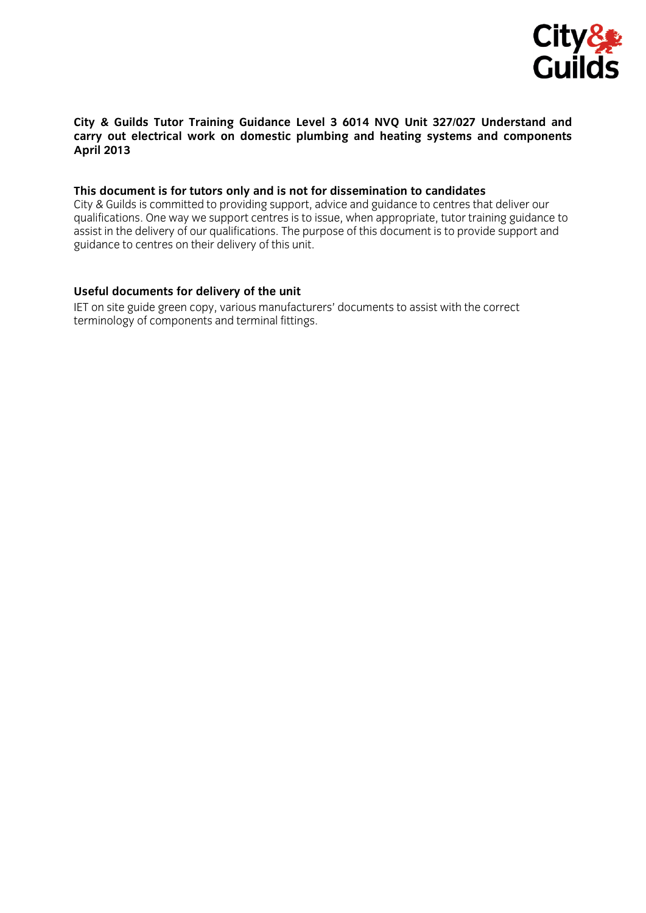

## **City & Guilds Tutor Training Guidance Level 3 6014 NVQ Unit 327/027 Understand and carry out electrical work on domestic plumbing and heating systems and components April 2013**

## **This document is for tutors only and is not for dissemination to candidates**

City & Guilds is committed to providing support, advice and guidance to centres that deliver our qualifications. One way we support centres is to issue, when appropriate, tutor training guidance to assist in the delivery of our qualifications. The purpose of this document is to provide support and guidance to centres on their delivery of this unit.

## **Useful documents for delivery of the unit**

IET on site guide green copy, various manufacturers' documents to assist with the correct terminology of components and terminal fittings.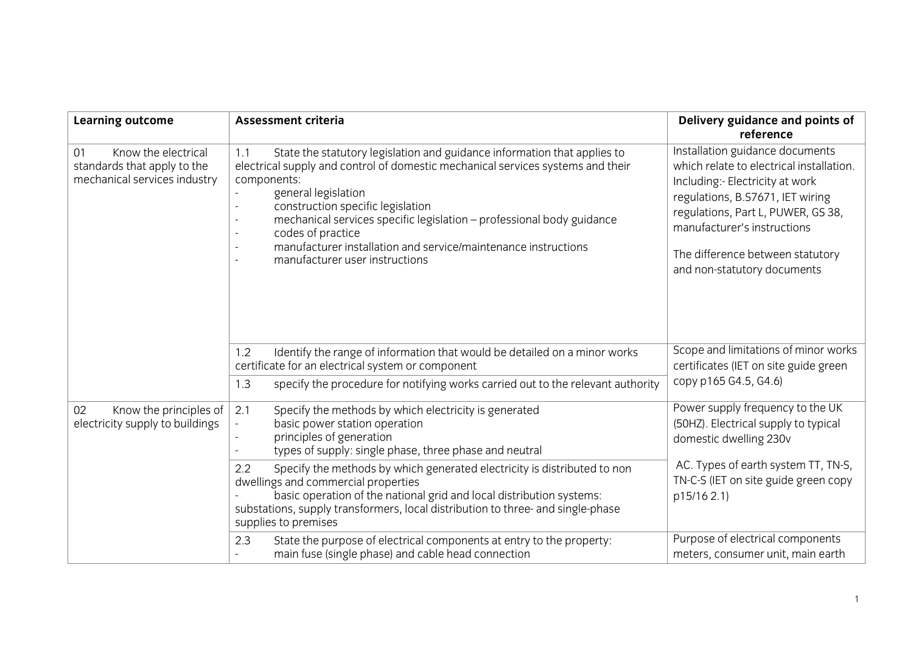| <b>Learning outcome</b>                                                                  | <b>Assessment criteria</b>                                                                                                                                                                                                                                                                                                                                                                                                                      | Delivery guidance and points of<br>reference                                                                                                                                                                                                                                               |  |
|------------------------------------------------------------------------------------------|-------------------------------------------------------------------------------------------------------------------------------------------------------------------------------------------------------------------------------------------------------------------------------------------------------------------------------------------------------------------------------------------------------------------------------------------------|--------------------------------------------------------------------------------------------------------------------------------------------------------------------------------------------------------------------------------------------------------------------------------------------|--|
| Know the electrical<br>01<br>standards that apply to the<br>mechanical services industry | State the statutory legislation and guidance information that applies to<br>1.1<br>electrical supply and control of domestic mechanical services systems and their<br>components:<br>general legislation<br>construction specific legislation<br>mechanical services specific legislation - professional body guidance<br>codes of practice<br>manufacturer installation and service/maintenance instructions<br>manufacturer user instructions | Installation guidance documents<br>which relate to electrical installation.<br>Including:- Electricity at work<br>regulations, B.S7671, IET wiring<br>regulations, Part L, PUWER, GS 38,<br>manufacturer's instructions<br>The difference between statutory<br>and non-statutory documents |  |
|                                                                                          | Identify the range of information that would be detailed on a minor works<br>1.2<br>certificate for an electrical system or component                                                                                                                                                                                                                                                                                                           | Scope and limitations of minor works<br>certificates (IET on site guide green                                                                                                                                                                                                              |  |
|                                                                                          | specify the procedure for notifying works carried out to the relevant authority<br>1.3                                                                                                                                                                                                                                                                                                                                                          | copy p165 G4.5, G4.6)                                                                                                                                                                                                                                                                      |  |
| Know the principles of<br>02<br>electricity supply to buildings                          | Specify the methods by which electricity is generated<br>2.1<br>basic power station operation<br>principles of generation<br>types of supply: single phase, three phase and neutral                                                                                                                                                                                                                                                             | Power supply frequency to the UK<br>(50HZ). Electrical supply to typical<br>domestic dwelling 230v                                                                                                                                                                                         |  |
|                                                                                          | Specify the methods by which generated electricity is distributed to non<br>2.2<br>dwellings and commercial properties<br>basic operation of the national grid and local distribution systems:<br>substations, supply transformers, local distribution to three- and single-phase<br>supplies to premises                                                                                                                                       | AC. Types of earth system TT, TN-S,<br>TN-C-S (IET on site guide green copy<br>p15/16 2.1)                                                                                                                                                                                                 |  |
|                                                                                          | State the purpose of electrical components at entry to the property:<br>2.3<br>main fuse (single phase) and cable head connection                                                                                                                                                                                                                                                                                                               | Purpose of electrical components<br>meters, consumer unit, main earth                                                                                                                                                                                                                      |  |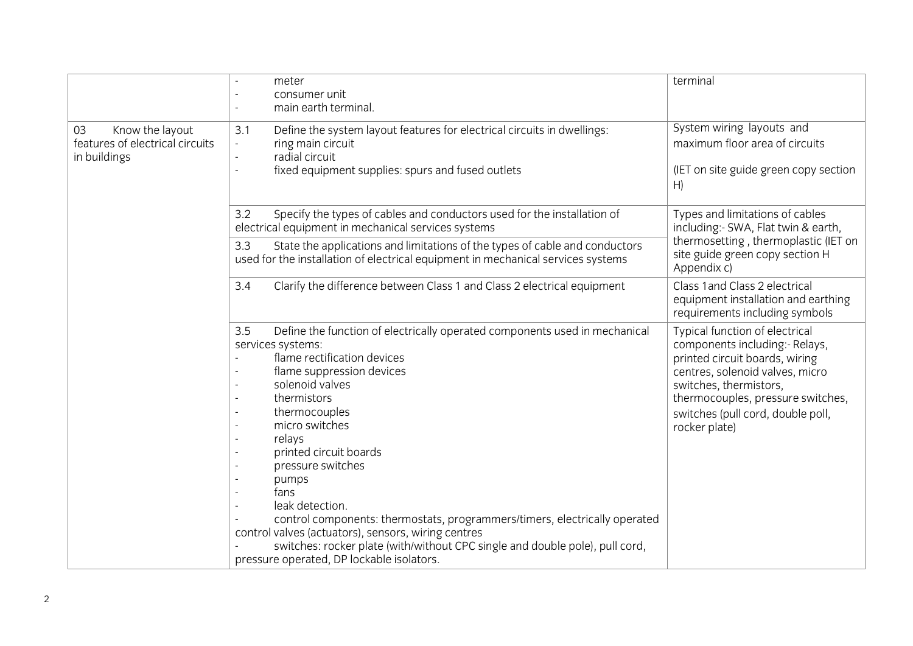|                                                                          | meter<br>consumer unit<br>main earth terminal.                                                                                                                                                                                                                                                                                                                                                                                                                                                                                                                                                         | terminal                                                                                                                                                                                                                                                   |
|--------------------------------------------------------------------------|--------------------------------------------------------------------------------------------------------------------------------------------------------------------------------------------------------------------------------------------------------------------------------------------------------------------------------------------------------------------------------------------------------------------------------------------------------------------------------------------------------------------------------------------------------------------------------------------------------|------------------------------------------------------------------------------------------------------------------------------------------------------------------------------------------------------------------------------------------------------------|
| Know the layout<br>03<br>features of electrical circuits<br>in buildings | Define the system layout features for electrical circuits in dwellings:<br>3.1<br>ring main circuit<br>$\overline{\phantom{a}}$<br>radial circuit<br>$\equiv$<br>fixed equipment supplies: spurs and fused outlets<br>$\equiv$                                                                                                                                                                                                                                                                                                                                                                         | System wiring layouts and<br>maximum floor area of circuits<br>(IET on site guide green copy section<br>H)                                                                                                                                                 |
|                                                                          | 3.2<br>Specify the types of cables and conductors used for the installation of<br>electrical equipment in mechanical services systems                                                                                                                                                                                                                                                                                                                                                                                                                                                                  | Types and limitations of cables<br>including: - SWA, Flat twin & earth,                                                                                                                                                                                    |
|                                                                          | 3.3<br>State the applications and limitations of the types of cable and conductors<br>used for the installation of electrical equipment in mechanical services systems                                                                                                                                                                                                                                                                                                                                                                                                                                 | thermosetting, thermoplastic (IET on<br>site guide green copy section H<br>Appendix c)                                                                                                                                                                     |
|                                                                          | Clarify the difference between Class 1 and Class 2 electrical equipment<br>3.4                                                                                                                                                                                                                                                                                                                                                                                                                                                                                                                         | Class 1 and Class 2 electrical<br>equipment installation and earthing<br>requirements including symbols                                                                                                                                                    |
|                                                                          | 3.5<br>Define the function of electrically operated components used in mechanical<br>services systems:<br>flame rectification devices<br>flame suppression devices<br>solenoid valves<br>thermistors<br>thermocouples<br>micro switches<br>relays<br>printed circuit boards<br>pressure switches<br>pumps<br>fans<br>leak detection.<br>control components: thermostats, programmers/timers, electrically operated<br>control valves (actuators), sensors, wiring centres<br>switches: rocker plate (with/without CPC single and double pole), pull cord,<br>pressure operated, DP lockable isolators. | Typical function of electrical<br>components including:- Relays,<br>printed circuit boards, wiring<br>centres, solenoid valves, micro<br>switches, thermistors,<br>thermocouples, pressure switches,<br>switches (pull cord, double poll,<br>rocker plate) |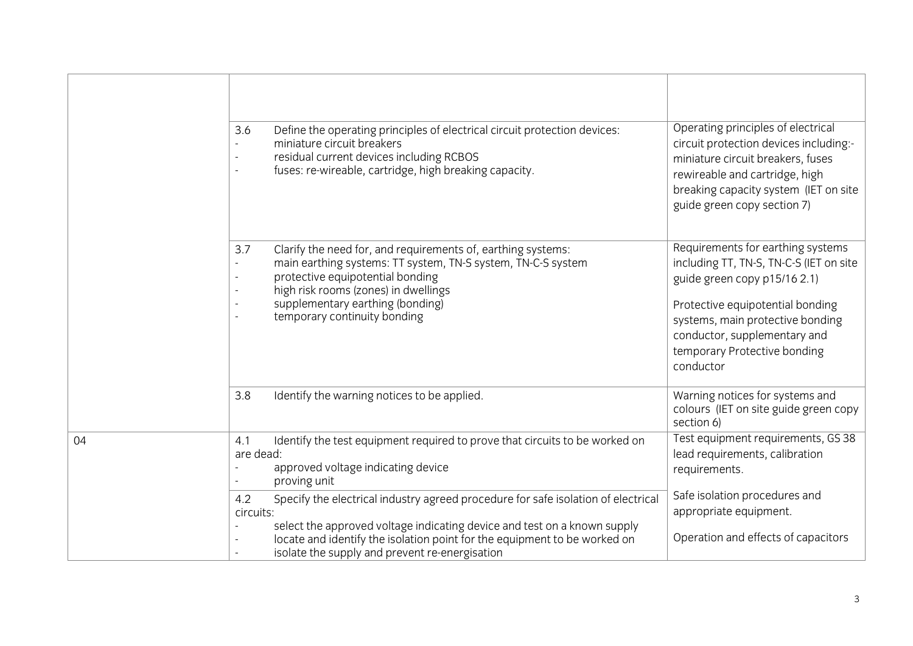|    | Define the operating principles of electrical circuit protection devices:<br>3.6<br>miniature circuit breakers<br>residual current devices including RCBOS<br>$\overline{\phantom{a}}$<br>fuses: re-wireable, cartridge, high breaking capacity.<br>$\overline{a}$                                                                                                      | Operating principles of electrical<br>circuit protection devices including:-<br>miniature circuit breakers, fuses<br>rewireable and cartridge, high<br>breaking capacity system (IET on site<br>guide green copy section 7)                                       |
|----|-------------------------------------------------------------------------------------------------------------------------------------------------------------------------------------------------------------------------------------------------------------------------------------------------------------------------------------------------------------------------|-------------------------------------------------------------------------------------------------------------------------------------------------------------------------------------------------------------------------------------------------------------------|
|    | 3.7<br>Clarify the need for, and requirements of, earthing systems:<br>main earthing systems: TT system, TN-S system, TN-C-S system<br>$\overline{\phantom{a}}$<br>protective equipotential bonding<br>$\overline{\phantom{a}}$<br>high risk rooms (zones) in dwellings<br>$\overline{\phantom{a}}$<br>supplementary earthing (bonding)<br>temporary continuity bonding | Requirements for earthing systems<br>including TT, TN-S, TN-C-S (IET on site<br>guide green copy p15/16 2.1)<br>Protective equipotential bonding<br>systems, main protective bonding<br>conductor, supplementary and<br>temporary Protective bonding<br>conductor |
|    | Identify the warning notices to be applied.<br>3.8                                                                                                                                                                                                                                                                                                                      | Warning notices for systems and<br>colours (IET on site guide green copy<br>section 6)                                                                                                                                                                            |
| 04 | Identify the test equipment required to prove that circuits to be worked on<br>4.1<br>are dead:<br>approved voltage indicating device<br>proving unit<br>$\overline{\phantom{a}}$                                                                                                                                                                                       | Test equipment requirements, GS 38<br>lead requirements, calibration<br>requirements.                                                                                                                                                                             |
|    | Specify the electrical industry agreed procedure for safe isolation of electrical<br>4.2<br>circuits:<br>select the approved voltage indicating device and test on a known supply<br>$\overline{a}$<br>locate and identify the isolation point for the equipment to be worked on<br>isolate the supply and prevent re-energisation                                      | Safe isolation procedures and<br>appropriate equipment.<br>Operation and effects of capacitors                                                                                                                                                                    |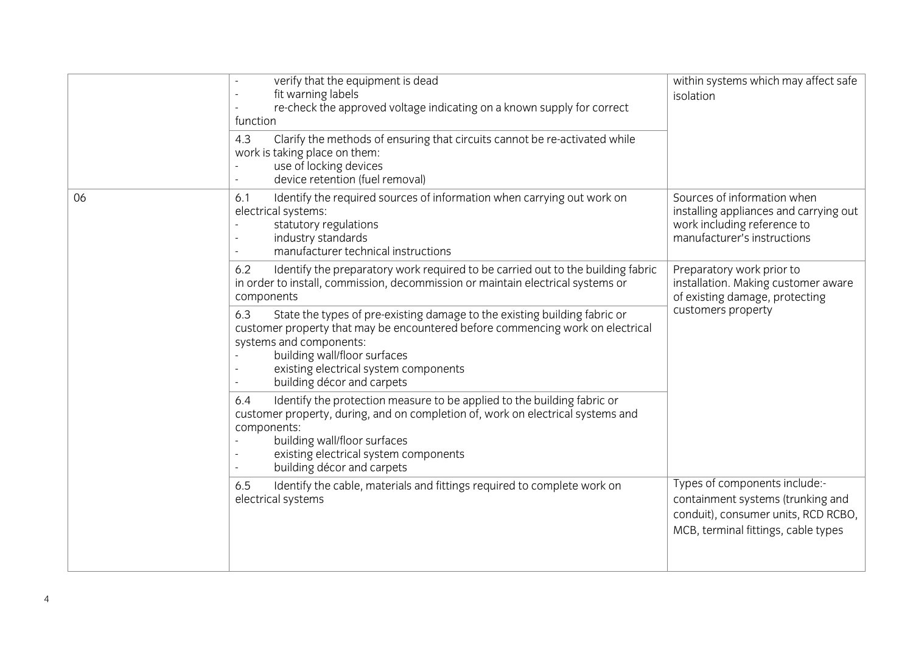|    | verify that the equipment is dead<br>fit warning labels<br>re-check the approved voltage indicating on a known supply for correct<br>function<br>Clarify the methods of ensuring that circuits cannot be re-activated while<br>4.3<br>work is taking place on them:<br>use of locking devices<br>device retention (fuel removal) | within systems which may affect safe<br>isolation                                                                                                |
|----|----------------------------------------------------------------------------------------------------------------------------------------------------------------------------------------------------------------------------------------------------------------------------------------------------------------------------------|--------------------------------------------------------------------------------------------------------------------------------------------------|
| 06 | Identify the required sources of information when carrying out work on<br>6.1<br>electrical systems:<br>statutory regulations<br>industry standards<br>manufacturer technical instructions                                                                                                                                       | Sources of information when<br>installing appliances and carrying out<br>work including reference to<br>manufacturer's instructions              |
|    | Identify the preparatory work required to be carried out to the building fabric<br>6.2<br>in order to install, commission, decommission or maintain electrical systems or<br>components                                                                                                                                          | Preparatory work prior to<br>installation. Making customer aware<br>of existing damage, protecting                                               |
|    | 6.3<br>State the types of pre-existing damage to the existing building fabric or<br>customer property that may be encountered before commencing work on electrical<br>systems and components:<br>building wall/floor surfaces<br>existing electrical system components<br>building décor and carpets                             | customers property                                                                                                                               |
|    | Identify the protection measure to be applied to the building fabric or<br>6.4<br>customer property, during, and on completion of, work on electrical systems and<br>components:<br>building wall/floor surfaces<br>existing electrical system components<br>building décor and carpets                                          |                                                                                                                                                  |
|    | Identify the cable, materials and fittings required to complete work on<br>6.5<br>electrical systems                                                                                                                                                                                                                             | Types of components include:-<br>containment systems (trunking and<br>conduit), consumer units, RCD RCBO,<br>MCB, terminal fittings, cable types |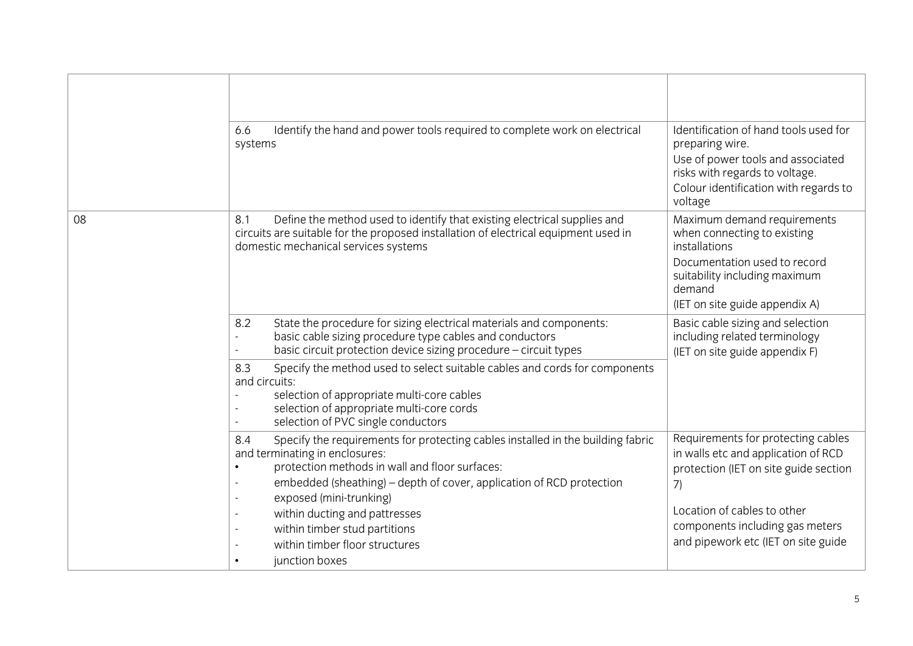|    | Identify the hand and power tools required to complete work on electrical<br>6.6<br>systems                                                                                                                                                                                                                                                                                                                                                      | Identification of hand tools used for<br>preparing wire.<br>Use of power tools and associated<br>risks with regards to voltage.<br>Colour identification with regards to<br>voltage                                               |
|----|--------------------------------------------------------------------------------------------------------------------------------------------------------------------------------------------------------------------------------------------------------------------------------------------------------------------------------------------------------------------------------------------------------------------------------------------------|-----------------------------------------------------------------------------------------------------------------------------------------------------------------------------------------------------------------------------------|
| 08 | Define the method used to identify that existing electrical supplies and<br>8.1<br>circuits are suitable for the proposed installation of electrical equipment used in<br>domestic mechanical services systems                                                                                                                                                                                                                                   | Maximum demand requirements<br>when connecting to existing<br>installations<br>Documentation used to record<br>suitability including maximum<br>demand<br>(IET on site guide appendix A)                                          |
|    | 8.2<br>State the procedure for sizing electrical materials and components:<br>basic cable sizing procedure type cables and conductors<br>basic circuit protection device sizing procedure - circuit types<br>Specify the method used to select suitable cables and cords for components<br>8.3<br>and circuits:<br>selection of appropriate multi-core cables<br>selection of appropriate multi-core cords<br>selection of PVC single conductors | Basic cable sizing and selection<br>including related terminology<br>(IET on site guide appendix F)                                                                                                                               |
|    | Specify the requirements for protecting cables installed in the building fabric<br>8.4<br>and terminating in enclosures:<br>protection methods in wall and floor surfaces:<br>$\bullet$<br>embedded (sheathing) - depth of cover, application of RCD protection<br>exposed (mini-trunking)<br>$\sim$<br>within ducting and pattresses<br>$\sim$<br>within timber stud partitions<br>within timber floor structures<br>junction boxes             | Requirements for protecting cables<br>in walls etc and application of RCD<br>protection (IET on site guide section<br>7)<br>Location of cables to other<br>components including gas meters<br>and pipework etc (IET on site guide |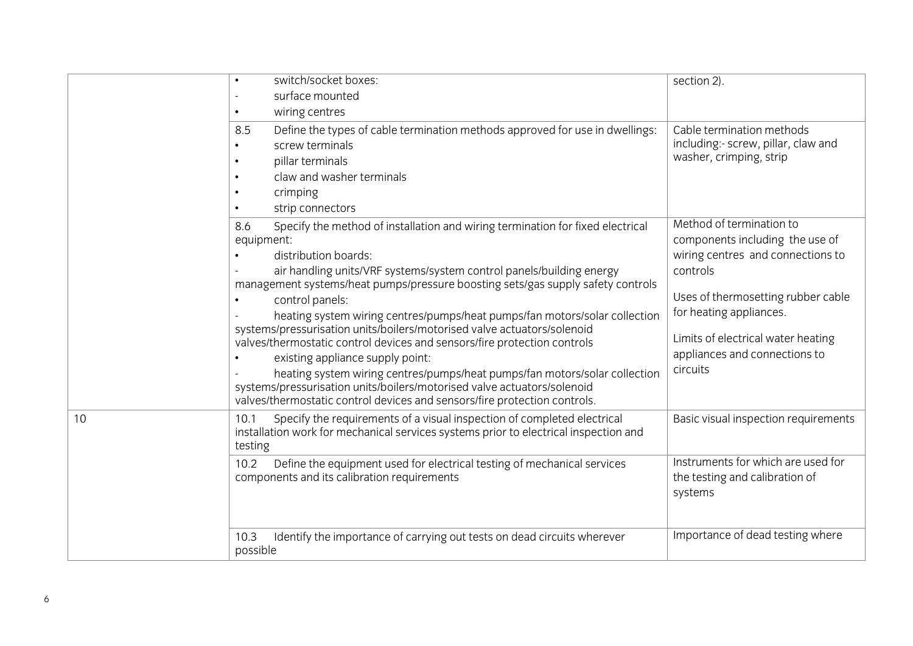|           | switch/socket boxes:<br>surface mounted                                                                                                                                                                                                                                                                                                                                                                                                                                                                                                                                                                                                                                                                                                                                                                                  | section 2).                                                                                                                                                                                                                                                      |
|-----------|--------------------------------------------------------------------------------------------------------------------------------------------------------------------------------------------------------------------------------------------------------------------------------------------------------------------------------------------------------------------------------------------------------------------------------------------------------------------------------------------------------------------------------------------------------------------------------------------------------------------------------------------------------------------------------------------------------------------------------------------------------------------------------------------------------------------------|------------------------------------------------------------------------------------------------------------------------------------------------------------------------------------------------------------------------------------------------------------------|
| $\bullet$ | wiring centres                                                                                                                                                                                                                                                                                                                                                                                                                                                                                                                                                                                                                                                                                                                                                                                                           |                                                                                                                                                                                                                                                                  |
|           | Define the types of cable termination methods approved for use in dwellings:<br>8.5<br>screw terminals<br>pillar terminals<br>claw and washer terminals<br>crimping                                                                                                                                                                                                                                                                                                                                                                                                                                                                                                                                                                                                                                                      | Cable termination methods<br>including:- screw, pillar, claw and<br>washer, crimping, strip                                                                                                                                                                      |
|           | strip connectors                                                                                                                                                                                                                                                                                                                                                                                                                                                                                                                                                                                                                                                                                                                                                                                                         |                                                                                                                                                                                                                                                                  |
|           | Specify the method of installation and wiring termination for fixed electrical<br>8.6<br>equipment:<br>distribution boards:<br>air handling units/VRF systems/system control panels/building energy<br>management systems/heat pumps/pressure boosting sets/gas supply safety controls<br>control panels:<br>heating system wiring centres/pumps/heat pumps/fan motors/solar collection<br>systems/pressurisation units/boilers/motorised valve actuators/solenoid<br>valves/thermostatic control devices and sensors/fire protection controls<br>existing appliance supply point:<br>heating system wiring centres/pumps/heat pumps/fan motors/solar collection<br>systems/pressurisation units/boilers/motorised valve actuators/solenoid<br>valves/thermostatic control devices and sensors/fire protection controls. | Method of termination to<br>components including the use of<br>wiring centres and connections to<br>controls<br>Uses of thermosetting rubber cable<br>for heating appliances.<br>Limits of electrical water heating<br>appliances and connections to<br>circuits |
| 10        | Specify the requirements of a visual inspection of completed electrical<br>10.1<br>installation work for mechanical services systems prior to electrical inspection and<br>testing                                                                                                                                                                                                                                                                                                                                                                                                                                                                                                                                                                                                                                       | Basic visual inspection requirements                                                                                                                                                                                                                             |
|           | Define the equipment used for electrical testing of mechanical services<br>10.2<br>components and its calibration requirements                                                                                                                                                                                                                                                                                                                                                                                                                                                                                                                                                                                                                                                                                           | Instruments for which are used for<br>the testing and calibration of<br>systems                                                                                                                                                                                  |
|           | 10.3<br>Identify the importance of carrying out tests on dead circuits wherever<br>possible                                                                                                                                                                                                                                                                                                                                                                                                                                                                                                                                                                                                                                                                                                                              | Importance of dead testing where                                                                                                                                                                                                                                 |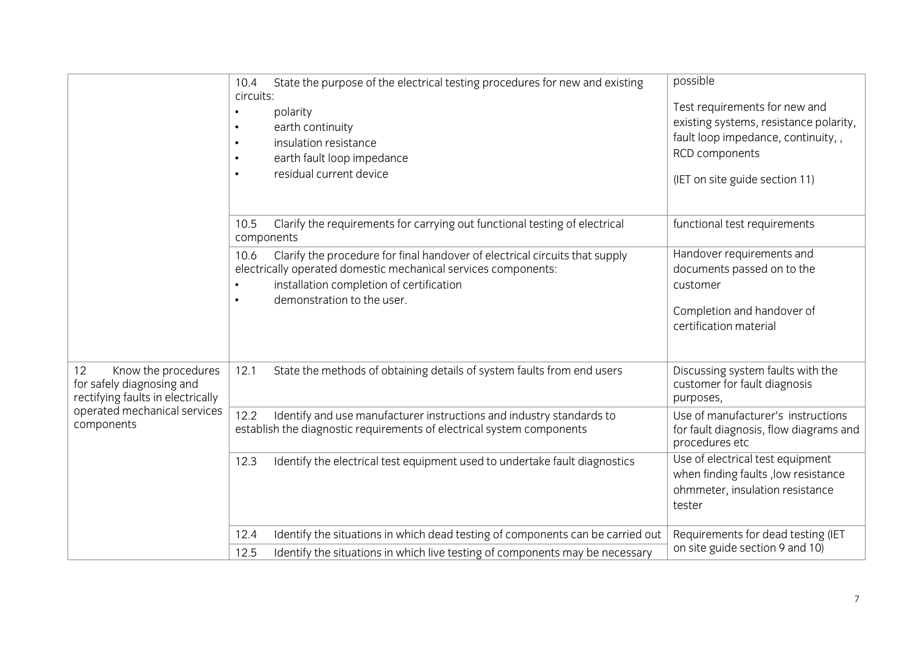|                                                                                             | State the purpose of the electrical testing procedures for new and existing<br>10.4<br>circuits:<br>polarity<br>$\bullet$<br>earth continuity<br>$\bullet$<br>insulation resistance<br>$\bullet$<br>earth fault loop impedance<br>$\bullet$<br>residual current device<br>$\bullet$<br>Clarify the requirements for carrying out functional testing of electrical<br>10.5<br>components<br>Clarify the procedure for final handover of electrical circuits that supply<br>10.6<br>electrically operated domestic mechanical services components:<br>installation completion of certification<br>$\bullet$<br>demonstration to the user.<br>$\bullet$ | possible<br>Test requirements for new and<br>existing systems, resistance polarity,<br>fault loop impedance, continuity,,<br>RCD components<br>(IET on site guide section 11)<br>functional test requirements<br>Handover requirements and<br>documents passed on to the<br>customer<br>Completion and handover of<br>certification material |
|---------------------------------------------------------------------------------------------|------------------------------------------------------------------------------------------------------------------------------------------------------------------------------------------------------------------------------------------------------------------------------------------------------------------------------------------------------------------------------------------------------------------------------------------------------------------------------------------------------------------------------------------------------------------------------------------------------------------------------------------------------|----------------------------------------------------------------------------------------------------------------------------------------------------------------------------------------------------------------------------------------------------------------------------------------------------------------------------------------------|
| Know the procedures<br>12<br>for safely diagnosing and<br>rectifying faults in electrically | State the methods of obtaining details of system faults from end users<br>12.1                                                                                                                                                                                                                                                                                                                                                                                                                                                                                                                                                                       | Discussing system faults with the<br>customer for fault diagnosis<br>purposes,                                                                                                                                                                                                                                                               |
| operated mechanical services<br>components                                                  | 12.2<br>Identify and use manufacturer instructions and industry standards to<br>establish the diagnostic requirements of electrical system components                                                                                                                                                                                                                                                                                                                                                                                                                                                                                                | Use of manufacturer's instructions<br>for fault diagnosis, flow diagrams and<br>procedures etc                                                                                                                                                                                                                                               |
|                                                                                             | Identify the electrical test equipment used to undertake fault diagnostics<br>12.3                                                                                                                                                                                                                                                                                                                                                                                                                                                                                                                                                                   | Use of electrical test equipment<br>when finding faults, low resistance<br>ohmmeter, insulation resistance<br>tester                                                                                                                                                                                                                         |
|                                                                                             | Identify the situations in which dead testing of components can be carried out<br>12.4                                                                                                                                                                                                                                                                                                                                                                                                                                                                                                                                                               | Requirements for dead testing (IET                                                                                                                                                                                                                                                                                                           |
|                                                                                             | Identify the situations in which live testing of components may be necessary<br>12.5                                                                                                                                                                                                                                                                                                                                                                                                                                                                                                                                                                 | on site guide section 9 and 10)                                                                                                                                                                                                                                                                                                              |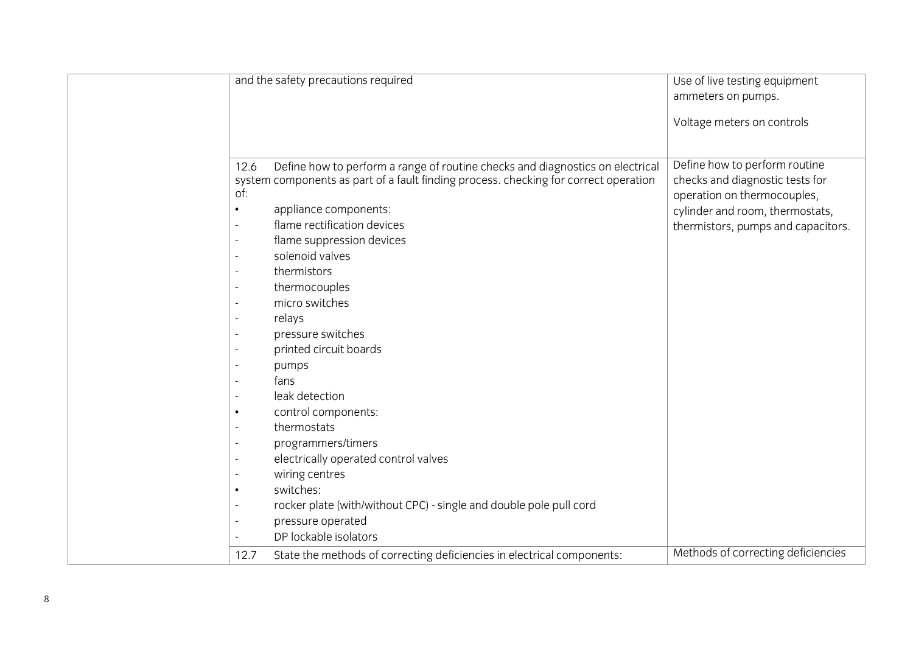| ammeters on pumps.<br>Voltage meters on controls<br>Define how to perform routine<br>Define how to perform a range of routine checks and diagnostics on electrical<br>12.6<br>checks and diagnostic tests for<br>system components as part of a fault finding process. checking for correct operation<br>of:<br>operation on thermocouples,<br>appliance components:<br>cylinder and room, thermostats,<br>$\bullet$<br>flame rectification devices<br>$\overline{\phantom{a}}$<br>flame suppression devices<br>$\overline{\phantom{a}}$<br>solenoid valves<br>thermistors<br>$\overline{\phantom{a}}$<br>thermocouples<br>$\overline{\phantom{a}}$<br>micro switches<br>relays<br>$\overline{\phantom{a}}$<br>pressure switches<br>$\overline{\phantom{a}}$<br>printed circuit boards<br>$\overline{\phantom{a}}$<br>pumps<br>fans | and the safety precautions required | Use of live testing equipment      |  |
|-------------------------------------------------------------------------------------------------------------------------------------------------------------------------------------------------------------------------------------------------------------------------------------------------------------------------------------------------------------------------------------------------------------------------------------------------------------------------------------------------------------------------------------------------------------------------------------------------------------------------------------------------------------------------------------------------------------------------------------------------------------------------------------------------------------------------------------|-------------------------------------|------------------------------------|--|
|                                                                                                                                                                                                                                                                                                                                                                                                                                                                                                                                                                                                                                                                                                                                                                                                                                     |                                     |                                    |  |
|                                                                                                                                                                                                                                                                                                                                                                                                                                                                                                                                                                                                                                                                                                                                                                                                                                     |                                     |                                    |  |
| leak detection<br>control components:<br>$\bullet$<br>thermostats<br>programmers/timers<br>$\overline{\phantom{a}}$<br>electrically operated control valves<br>$\overline{\phantom{a}}$<br>wiring centres<br>$\blacksquare$<br>switches:<br>$\bullet$<br>rocker plate (with/without CPC) - single and double pole pull cord<br>pressure operated<br>$\overline{\phantom{a}}$<br>DP lockable isolators<br>$\overline{\phantom{0}}$                                                                                                                                                                                                                                                                                                                                                                                                   |                                     | thermistors, pumps and capacitors. |  |
| State the methods of correcting deficiencies in electrical components:<br>12.7                                                                                                                                                                                                                                                                                                                                                                                                                                                                                                                                                                                                                                                                                                                                                      |                                     | Methods of correcting deficiencies |  |